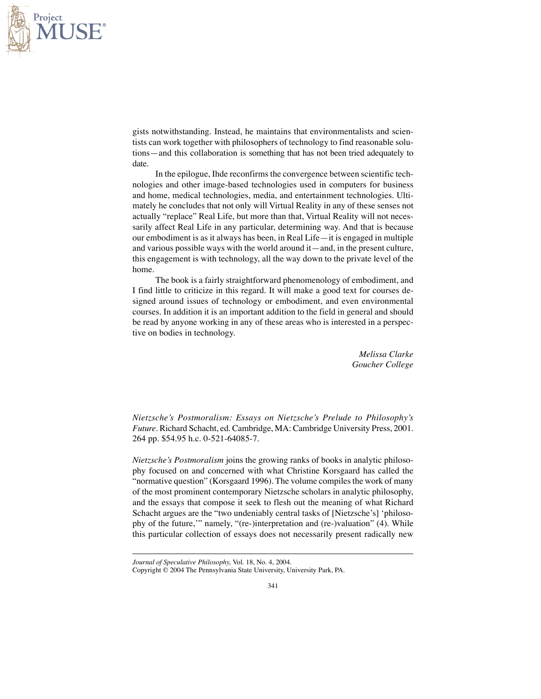

gists notwithstanding. Instead, he maintains that environmentalists and scientists can work together with philosophers of technology to find reasonable solutions-and this collaboration is something that has not been tried adequately to date.

In the epilogue, Ihde reconfirms the convergence between scientific technologies and other image-based technologies used in computers for business and home, medical technologies, media, and entertainment technologies. Ultimately he concludes that not only will Virtual Reality in any of these senses not actually "replace" Real Life, but more than that, Virtual Reality will not necessarily affect Real Life in any particular, determining way. And that is because our embodiment is as it always has been, in Real Life $-$ it is engaged in multiple and various possible ways with the world around it—and, in the present culture, this engagement is with technology, all the way down to the private level of the home.

The book is a fairly straightforward phenomenology of embodiment, and I find little to criticize in this regard. It will make a good text for courses designed around issues of technology or embodiment, and even environmental courses. In addition it is an important addition to the field in general and should be read by anyone working in any of these areas who is interested in a perspective on bodies in technology.

> *Melissa Clarke Goucher College*

*Nietzscheís Postmoralism: Essays on Nietzscheís Prelude to Philosophyís Future*. Richard Schacht, ed. Cambridge, MA: Cambridge University Press, 2001. 264 pp. \$54.95 h.c. 0-521-64085-7.

*Nietzsche's Postmoralism* joins the growing ranks of books in analytic philosophy focused on and concerned with what Christine Korsgaard has called the "normative question" (Korsgaard 1996). The volume compiles the work of many of the most prominent contemporary Nietzsche scholars in analytic philosophy, and the essays that compose it seek to flesh out the meaning of what Richard Schacht argues are the "two undeniably central tasks of [Nietzsche's] 'philosophy of the future," namely, "(re-)interpretation and (re-)valuation" (4). While this particular collection of essays does not necessarily present radically new

*Journal of Speculative Philosophy,* Vol. 18, No. 4, 2004.

Copyright © 2004 The Pennsylvania State University, University Park, PA.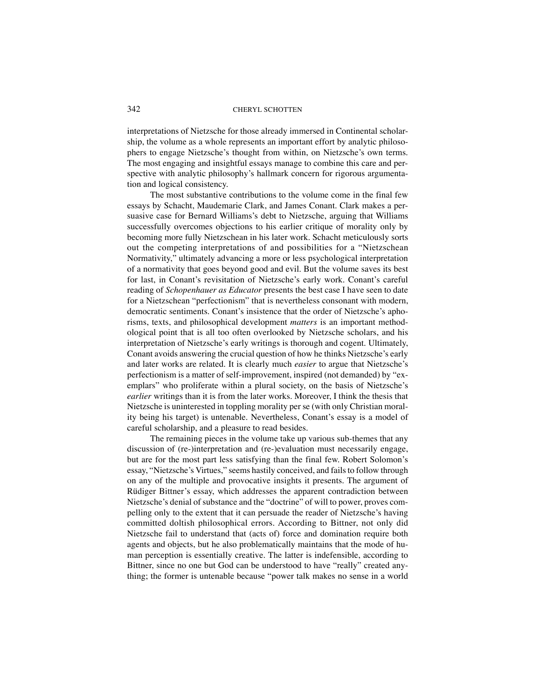## 342 CHERYL SCHOTTEN

interpretations of Nietzsche for those already immersed in Continental scholarship, the volume as a whole represents an important effort by analytic philosophers to engage Nietzsche's thought from within, on Nietzsche's own terms. The most engaging and insightful essays manage to combine this care and perspective with analytic philosophy's hallmark concern for rigorous argumentation and logical consistency.

The most substantive contributions to the volume come in the final few essays by Schacht, Maudemarie Clark, and James Conant. Clark makes a persuasive case for Bernard Williams's debt to Nietzsche, arguing that Williams successfully overcomes objections to his earlier critique of morality only by becoming more fully Nietzschean in his later work. Schacht meticulously sorts out the competing interpretations of and possibilities for a "Nietzschean Normativity," ultimately advancing a more or less psychological interpretation of a normativity that goes beyond good and evil. But the volume saves its best for last, in Conant's revisitation of Nietzsche's early work. Conant's careful reading of *Schopenhauer as Educator* presents the best case I have seen to date for a Nietzschean "perfectionism" that is nevertheless consonant with modern, democratic sentiments. Conant's insistence that the order of Nietzsche's aphorisms, texts, and philosophical development *matters* is an important methodological point that is all too often overlooked by Nietzsche scholars, and his interpretation of Nietzsche's early writings is thorough and cogent. Ultimately, Conant avoids answering the crucial question of how he thinks Nietzsche's early and later works are related. It is clearly much *easier* to argue that Nietzsche's perfectionism is a matter of self-improvement, inspired (not demanded) by "exemplars" who proliferate within a plural society, on the basis of Nietzsche's *earlier* writings than it is from the later works. Moreover, I think the thesis that Nietzsche is uninterested in toppling morality per se (with only Christian morality being his target) is untenable. Nevertheless, Conant's essay is a model of careful scholarship, and a pleasure to read besides.

The remaining pieces in the volume take up various sub-themes that any discussion of (re-)interpretation and (re-)evaluation must necessarily engage, but are for the most part less satisfying than the final few. Robert Solomon's essay, "Nietzsche's Virtues," seems hastily conceived, and fails to follow through on any of the multiple and provocative insights it presents. The argument of Rüdiger Bittner's essay, which addresses the apparent contradiction between Nietzsche's denial of substance and the "doctrine" of will to power, proves compelling only to the extent that it can persuade the reader of Nietzsche's having committed doltish philosophical errors. According to Bittner, not only did Nietzsche fail to understand that (acts of) force and domination require both agents and objects, but he also problematically maintains that the mode of human perception is essentially creative. The latter is indefensible, according to Bittner, since no one but God can be understood to have "really" created anything; the former is untenable because "power talk makes no sense in a world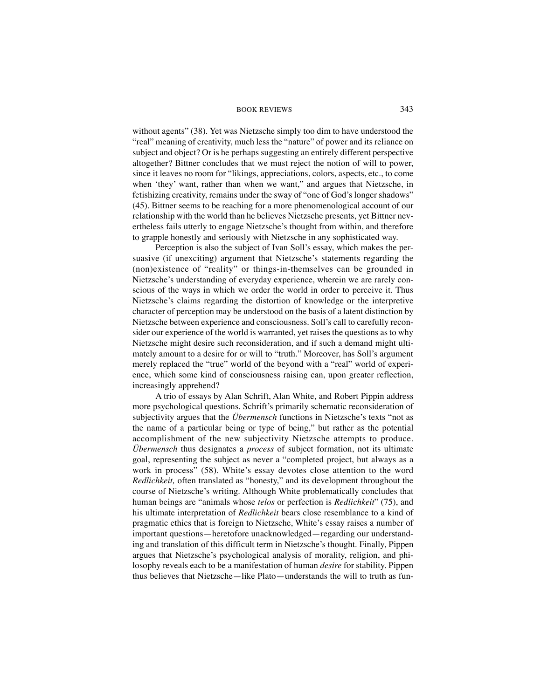## BOOK REVIEWS 343

without agents" (38). Yet was Nietzsche simply too dim to have understood the "real" meaning of creativity, much less the "nature" of power and its reliance on subject and object? Or is he perhaps suggesting an entirely different perspective altogether? Bittner concludes that we must reject the notion of will to power, since it leaves no room for "likings, appreciations, colors, aspects, etc., to come when 'they' want, rather than when we want," and argues that Nietzsche, in fetishizing creativity, remains under the sway of "one of God's longer shadows" (45). Bittner seems to be reaching for a more phenomenological account of our relationship with the world than he believes Nietzsche presents, yet Bittner nevertheless fails utterly to engage Nietzsche's thought from within, and therefore to grapple honestly and seriously with Nietzsche in any sophisticated way.

Perception is also the subject of Ivan Soll's essay, which makes the persuasive (if unexciting) argument that Nietzsche's statements regarding the (non)existence of "reality" or things-in-themselves can be grounded in Nietzsche's understanding of everyday experience, wherein we are rarely conscious of the ways in which we order the world in order to perceive it. Thus Nietzsche's claims regarding the distortion of knowledge or the interpretive character of perception may be understood on the basis of a latent distinction by Nietzsche between experience and consciousness. Soll's call to carefully reconsider our experience of the world is warranted, yet raises the questions as to why Nietzsche might desire such reconsideration, and if such a demand might ultimately amount to a desire for or will to "truth." Moreover, has Soll's argument merely replaced the "true" world of the beyond with a "real" world of experience, which some kind of consciousness raising can, upon greater reflection, increasingly apprehend?

A trio of essays by Alan Schrift, Alan White, and Robert Pippin address more psychological questions. Schrift's primarily schematic reconsideration of subjectivity argues that the *Übermensch* functions in Nietzsche's texts "not as the name of a particular being or type of being," but rather as the potential accomplishment of the new subjectivity Nietzsche attempts to produce. *Ubermensch* thus designates a *process* of subject formation, not its ultimate goal, representing the subject as never a "completed project, but always as a work in process" (58). White's essay devotes close attention to the word *Redlichkeit*, often translated as "honesty," and its development throughout the course of Nietzsche's writing. Although White problematically concludes that human beings are "animals whose *telos* or perfection is *Redlichkeit*" (75), and his ultimate interpretation of *Redlichkeit* bears close resemblance to a kind of pragmatic ethics that is foreign to Nietzsche, White's essay raises a number of important questions—heretofore unacknowledged—regarding our understanding and translation of this difficult term in Nietzsche's thought. Finally, Pippen argues that Nietzsche's psychological analysis of morality, religion, and philosophy reveals each to be a manifestation of human *desire* for stability. Pippen thus believes that Nietzsche–like Plato–understands the will to truth as fun